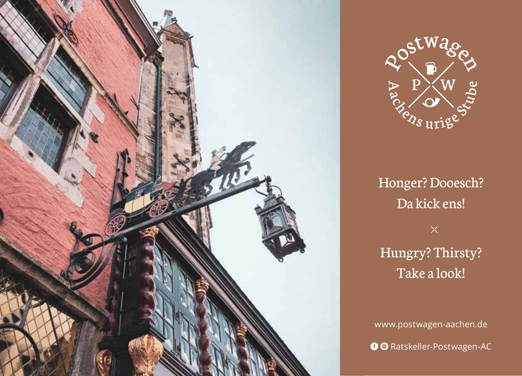



Honger? Dooesch? Da kick ens! Hungry? Thirsty? Take a look!

www.postwagen-aachen.de **O** @ Ratskeller-Postwagen-AC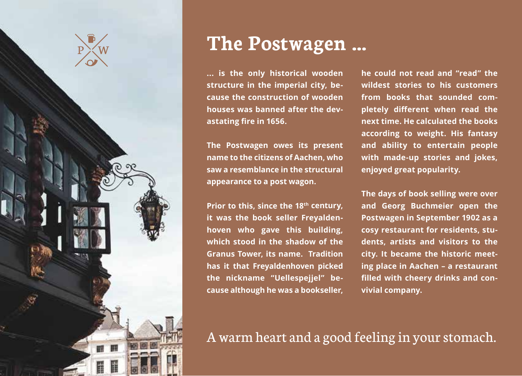

### **The Postwagen ...**

**... is the only historical wooden structure in the imperial city, because the construction of wooden houses was banned after the devastating fire in 1656.**

**The Postwagen owes its present name to the citizens of Aachen, who saw a resemblance in the structural appearance to a post wagon.**

**Prior to this, since the 18th century, it was the book seller Freyaldenhoven who gave this building, which stood in the shadow of the Granus Tower, its name. Tradition has it that Freyaldenhoven picked the nickname "Uellespejjel" because although he was a bookseller,** 

**he could not read and "read" the wildest stories to his customers from books that sounded completely different when read the next time. He calculated the books according to weight. His fantasy and ability to entertain people with made-up stories and jokes, enjoyed great popularity.**

**The days of book selling were over and Georg Buchmeier open the Postwagen in September 1902 as a cosy restaurant for residents, students, artists and visitors to the city. It became the historic meeting place in Aachen – a restaurant filled with cheery drinks and convivial company.**

#### A warm heart and a good feeling in your stomach.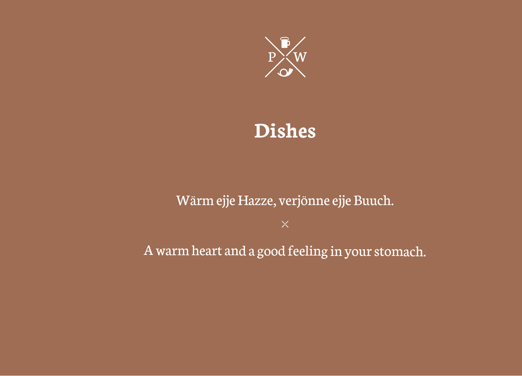

### **Dishes**

#### Wärm ejje Hazze, verjönne ejje Buuch.

A warm heart and a good feeling in your stomach.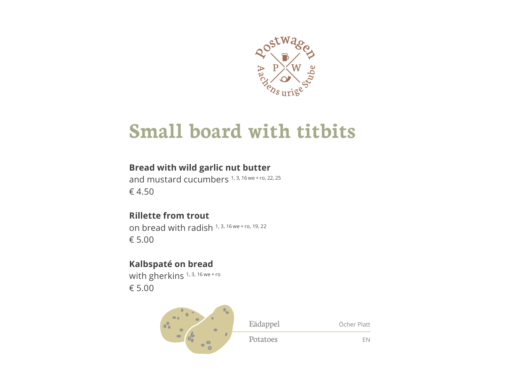

### **Small board with titbits**

#### Bread with wild garlic nut butter

and mustard cucumbers 1, 3, 16 we + ro, 22, 25 € 4.50

#### **Rillette from trout**

on bread with radish 1, 3, 16 we + ro, 19, 22 € 5.00

#### Kalbspaté on bread

with gherkins<sup>1, 3, 16 we+ro</sup> € 5.00

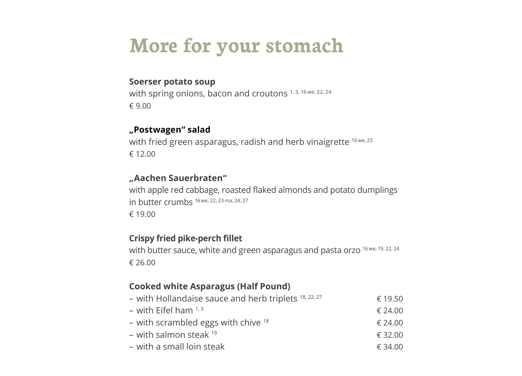## **More for your stomach**

#### **Soerser potato soup**

with spring onions, bacon and croutons 1, 3, 16 we, 22, 24 € 9.00

#### **"Postwagen" salad**

with fried green asparagus, radish and herb vinaigrette <sup>16 we, 25</sup> € 12.00

#### **"Aachen Sauerbraten"**

with apple red cabbage, roasted flaked almonds and potato dumplings in butter crumbs 16 we, 22, 23 ma, 24, 27 € 19.00

#### **Crispy fried pike-perch fillet**

with butter sauce, white and green asparagus and pasta orzo 16 we, 19, 22, 24 € 26.00

#### **Cooked white Asparagus (Half Pound)**

| - with Hollandaise sauce and herb triplets 18, 22, 27 | € 19.50 |
|-------------------------------------------------------|---------|
| – with Eifel ham $1,3$                                | € 24.00 |
| - with scrambled eggs with chive <sup>18</sup>        | € 24.00 |
| – with salmon steak <sup>19</sup>                     | € 32.00 |
| – with a small loin steak                             | € 34.00 |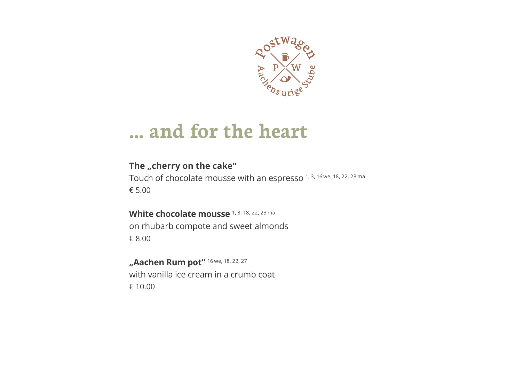

#### **... and for the heart**

#### The "cherry on the cake"

Touch of chocolate mousse with an espresso 1, 3, 16 we, 18, 22, 23 ma € 5.00

White chocolate mousse 1, 3, 18, 22, 23 ma on rhubarb compote and sweet almonds € 8.00

**"Aachen Rum pot"** 16 we, 18, 22, 27 with vanilla ice cream in a crumb coat € 10.00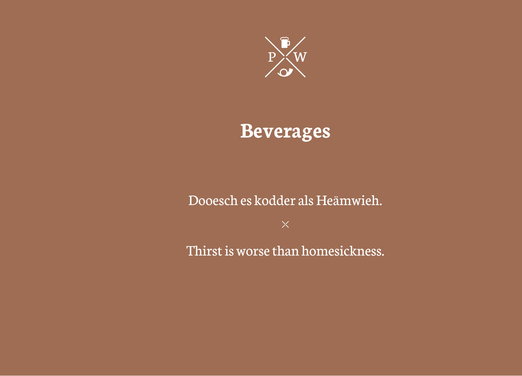

### Beverages

#### Dooesch es kodder als Heämwieh.

Thirst is worse than homesickness.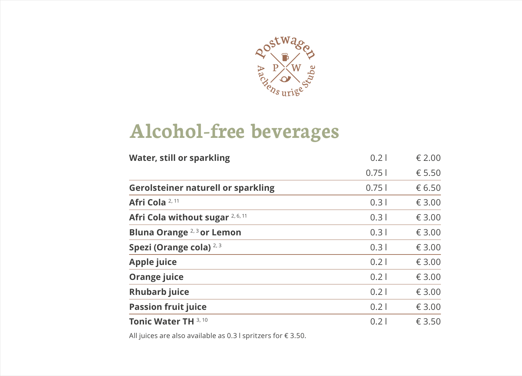

## **Alcohol-free beverages**

| <b>Water, still or sparkling</b>          | 0.2   | € 2.00 |
|-------------------------------------------|-------|--------|
|                                           | 0.751 | € 5.50 |
| <b>Gerolsteiner naturell or sparkling</b> | 0.751 | € 6.50 |
| Afri Cola 2, 11                           | 0.31  | € 3.00 |
| Afri Cola without sugar 2, 6, 11          | 0.31  | € 3.00 |
| Bluna Orange <sup>2,3</sup> or Lemon      | 0.31  | € 3.00 |
| Spezi (Orange cola) <sup>2,3</sup>        | 0.31  | € 3.00 |
| <b>Apple juice</b>                        | 0.21  | € 3.00 |
| Orange juice                              | 0.21  | € 3.00 |
| <b>Rhubarb juice</b>                      | 0.21  | € 3.00 |
| <b>Passion fruit juice</b>                | 0.21  | € 3.00 |
| Tonic Water TH 3, 10                      | 0.21  | € 3.50 |

All juices are also available as 0.3 l spritzers for € 3.50.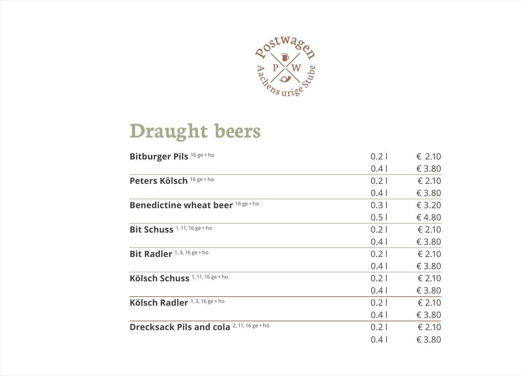

### **Draught beers**

| Bitburger Pils 16 ge + ho                  | 0.21 | € 2.10 |
|--------------------------------------------|------|--------|
|                                            | 0.41 | € 3.80 |
| Peters Kölsch 16 ge + ho                   | 0.21 | € 2.10 |
|                                            | 0.41 | € 3.80 |
| <b>Benedictine wheat beer 16 ge + ho</b>   | 0.31 | € 3.20 |
|                                            | 0.51 | €4.80  |
| Bit Schuss <sup>1,11,16 ge+ho</sup>        | 0.21 | € 2.10 |
|                                            | 0.41 | € 3.80 |
| Bit Radler <sup>1, 3, 16 ge + ho</sup>     | 0.21 | € 2.10 |
|                                            | 0.41 | € 3.80 |
| Kölsch Schuss <sup>1, 11, 16 ge + ho</sup> | 0.21 | € 2.10 |
|                                            | 0.41 | € 3.80 |
| Kölsch Radler 1, 3, 16 ge + ho             | 0.21 | € 2.10 |
|                                            | 0.41 | € 3.80 |
| Drecksack Pils and cola 2, 11, 16 ge + ho  | 0.21 | € 2.10 |
|                                            | 0.41 | € 3.80 |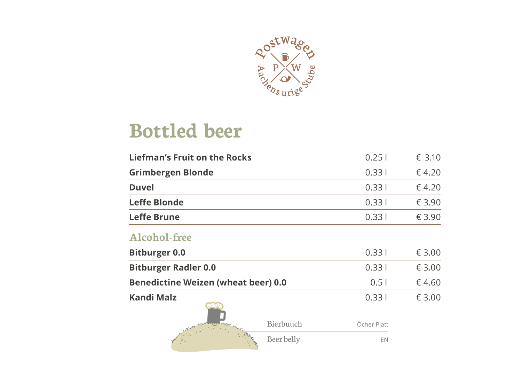

### **Bottled beer**

| <b>Liefman's Fruit on the Rocks</b>        |            | 0.251       | € 3.10 |
|--------------------------------------------|------------|-------------|--------|
| <b>Grimbergen Blonde</b>                   |            | 0.331       | € 4.20 |
| <b>Duvel</b>                               |            | 0.331       | € 4.20 |
| <b>Leffe Blonde</b>                        |            | 0.331       | € 3.90 |
| <b>Leffe Brune</b>                         |            | 0.331       | € 3.90 |
| <b>Alcohol-free</b>                        |            |             |        |
| <b>Bitburger 0.0</b>                       |            | 0.331       | € 3.00 |
| <b>Bitburger Radler 0.0</b>                |            | 0.331       | € 3.00 |
| <b>Benedictine Weizen (wheat beer) 0.0</b> |            | 0.51        | €4.60  |
| Kandi Malz                                 |            | 0.331       | € 3.00 |
|                                            | Bierbuuch  | Öcher Platt |        |
|                                            | Beer belly | EN          |        |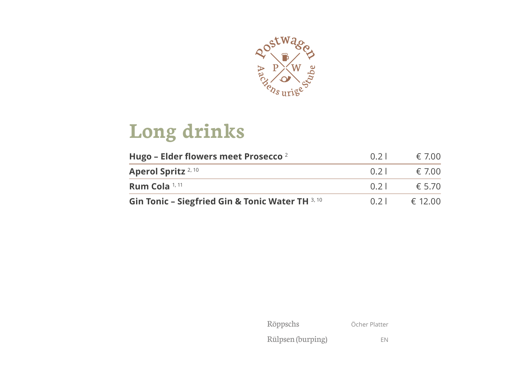

# **Long drinks**

| Hugo - Elder flowers meet Prosecco <sup>2</sup>  | 0.21 | € 7.00  |
|--------------------------------------------------|------|---------|
| Aperol Spritz <sup>2, 10</sup>                   | 0.21 | € 7.00  |
| Rum Cola <sup>1, 11</sup>                        | 0.21 | £570    |
| Gin Tonic - Siegfried Gin & Tonic Water TH 3, 10 | 0.21 | € 12.00 |

| Röppschs          | Öcher Platter |
|-------------------|---------------|
| Rülpsen (burping) | FN            |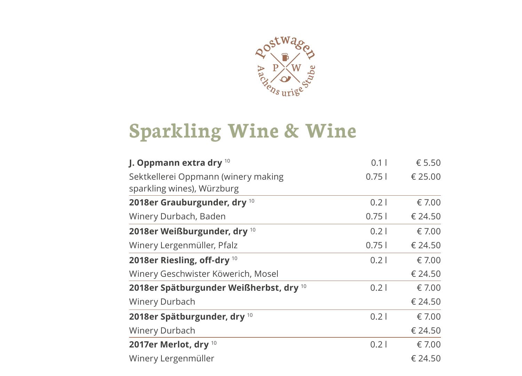

## **Sparkling Wine & Wine**

| J. Oppmann extra dry 10                                           | 0.11  | € 5.50  |
|-------------------------------------------------------------------|-------|---------|
| Sektkellerei Oppmann (winery making<br>sparkling wines), Würzburg | 0.751 | € 25.00 |
| 2018er Grauburgunder, dry 10                                      | 0.21  | € 7.00  |
| Winery Durbach, Baden                                             | 0.751 | € 24.50 |
| 2018er Weißburgunder, dry 10                                      | 0.21  | € 7.00  |
| Winery Lergenmüller, Pfalz                                        | 0.751 | € 24.50 |
| 2018er Riesling, off-dry 10                                       | 0.21  | € 7.00  |
| Winery Geschwister Köwerich, Mosel                                |       | € 24.50 |
| 2018er Spätburgunder Weißherbst, dry 10                           | 0.21  | € 7.00  |
| Winery Durbach                                                    |       | € 24.50 |
| 2018er Spätburgunder, dry 10                                      | 0.21  | € 7.00  |
| Winery Durbach                                                    |       | € 24.50 |
| 2017er Merlot, dry 10                                             | 0.21  | € 7.00  |
| Winery Lergenmüller                                               |       | € 24.50 |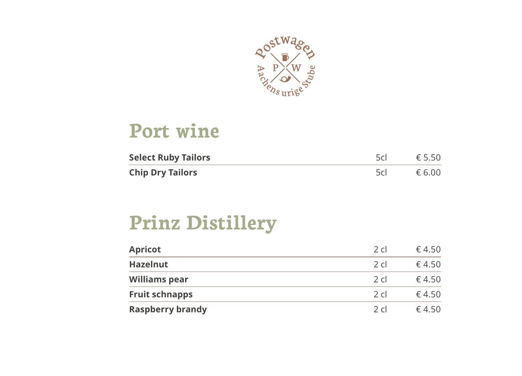

### **Port wine**

| <b>Select Ruby Tailors</b> | 5cl - | $\epsilon$ 5.50 |
|----------------------------|-------|-----------------|
| <b>Chip Dry Tailors</b>    | 5c    | € 6.00          |

## **Prinz Distillery**

| <b>Apricot</b>          | $2 \,$ cl | € 4.50 |
|-------------------------|-----------|--------|
| <b>Hazelnut</b>         | $2 \,$ cl | 64.50  |
| <b>Williams pear</b>    | 2c1       | 64.50  |
| <b>Fruit schnapps</b>   | 2c1       | 64.50  |
| <b>Raspberry brandy</b> | 2c1       | 64.50  |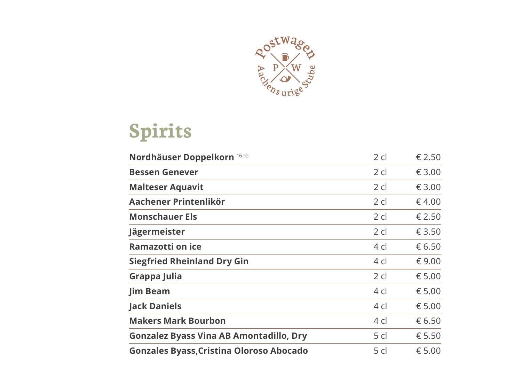

# **Spirits**

| Nordhäuser Doppelkorn 16 ro                     | $2$ cl | € 2.50 |
|-------------------------------------------------|--------|--------|
| <b>Bessen Genever</b>                           | $2$ cl | € 3.00 |
| <b>Malteser Aquavit</b>                         | $2$ cl | € 3.00 |
| Aachener Printenlikör                           | $2$ cl | €4.00  |
| <b>Monschauer Els</b>                           | $2$ cl | € 2.50 |
| Jägermeister                                    | $2$ cl | € 3.50 |
| <b>Ramazotti on ice</b>                         | 4 cl   | € 6.50 |
| <b>Siegfried Rheinland Dry Gin</b>              | $4$ cl | € 9.00 |
| Grappa Julia                                    | 2 cl   | € 5.00 |
| <b>Jim Beam</b>                                 | 4 cl   | € 5.00 |
| <b>Jack Daniels</b>                             | $4$ cl | € 5.00 |
| <b>Makers Mark Bourbon</b>                      | 4 cl   | € 6.50 |
| <b>Gonzalez Byass Vina AB Amontadillo, Dry</b>  | 5 cl   | € 5.50 |
| <b>Gonzales Byass, Cristina Oloroso Abocado</b> | 5 cl   | € 5.00 |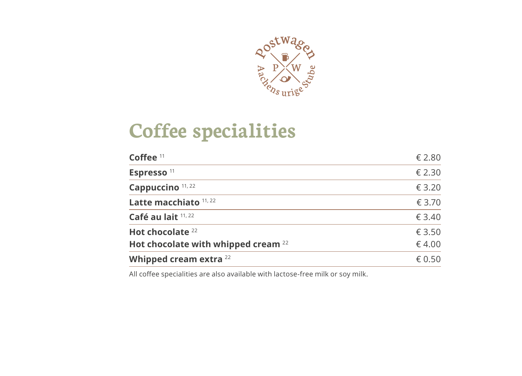

## **Coffee specialities**

| Coffee <sup>11</sup>                           | € 2.80 |
|------------------------------------------------|--------|
| Espresso <sup>11</sup>                         | € 2.30 |
| Cappuccino <sup>11, 22</sup>                   | € 3.20 |
| Latte macchiato 11, 22                         | € 3.70 |
| Café au lait 11, 22                            | € 3.40 |
| Hot chocolate <sup>22</sup>                    | € 3.50 |
| Hot chocolate with whipped cream <sup>22</sup> | € 4.00 |
| Whipped cream extra <sup>22</sup>              | € 0.50 |

All coffee specialities are also available with lactose-free milk or soy milk.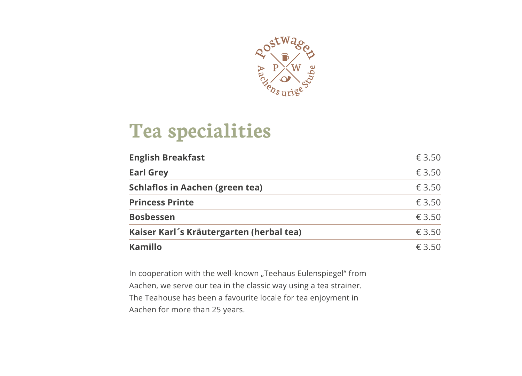

### **Tea specialities**

| <b>English Breakfast</b>                 | € 3.50 |
|------------------------------------------|--------|
| <b>Earl Grey</b>                         | € 3.50 |
| <b>Schlaflos in Aachen (green tea)</b>   | € 3.50 |
| <b>Princess Printe</b>                   | € 3.50 |
| <b>Bosbessen</b>                         | € 3.50 |
| Kaiser Karl's Kräutergarten (herbal tea) | € 3.50 |
| Kamillo                                  | £3.50  |

In cooperation with the well-known "Teehaus Eulenspiegel" from Aachen, we serve our tea in the classic way using a tea strainer. The Teahouse has been a favourite locale for tea enjoyment in Aachen for more than 25 years.